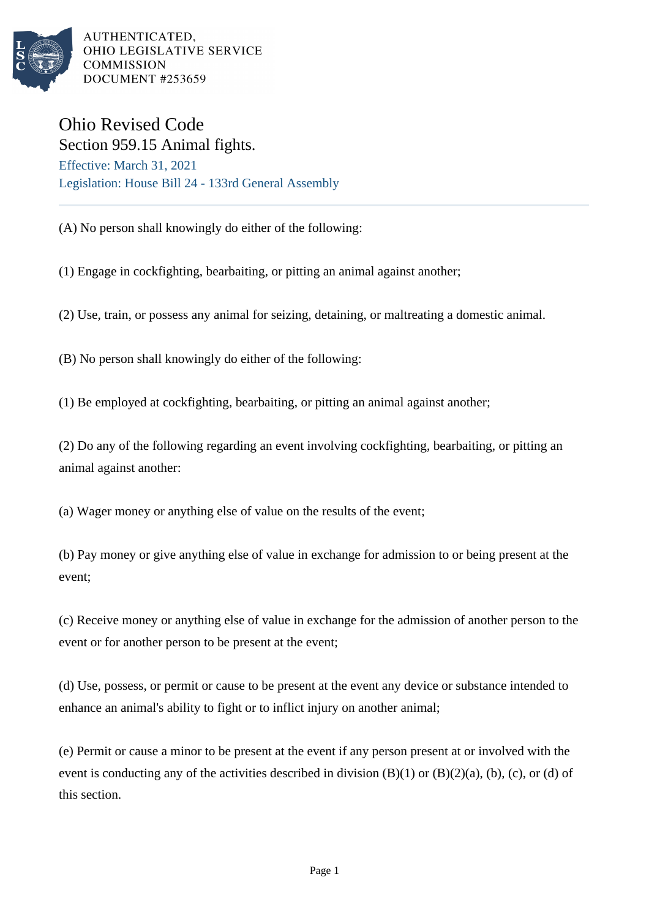

AUTHENTICATED. OHIO LEGISLATIVE SERVICE **COMMISSION DOCUMENT #253659** 

## Ohio Revised Code Section 959.15 Animal fights.

Effective: March 31, 2021 Legislation: House Bill 24 - 133rd General Assembly

(A) No person shall knowingly do either of the following:

(1) Engage in cockfighting, bearbaiting, or pitting an animal against another;

(2) Use, train, or possess any animal for seizing, detaining, or maltreating a domestic animal.

(B) No person shall knowingly do either of the following:

(1) Be employed at cockfighting, bearbaiting, or pitting an animal against another;

(2) Do any of the following regarding an event involving cockfighting, bearbaiting, or pitting an animal against another:

(a) Wager money or anything else of value on the results of the event;

(b) Pay money or give anything else of value in exchange for admission to or being present at the event;

(c) Receive money or anything else of value in exchange for the admission of another person to the event or for another person to be present at the event;

(d) Use, possess, or permit or cause to be present at the event any device or substance intended to enhance an animal's ability to fight or to inflict injury on another animal;

(e) Permit or cause a minor to be present at the event if any person present at or involved with the event is conducting any of the activities described in division  $(B)(1)$  or  $(B)(2)(a)$ ,  $(b)$ ,  $(c)$ , or  $(d)$  of this section.